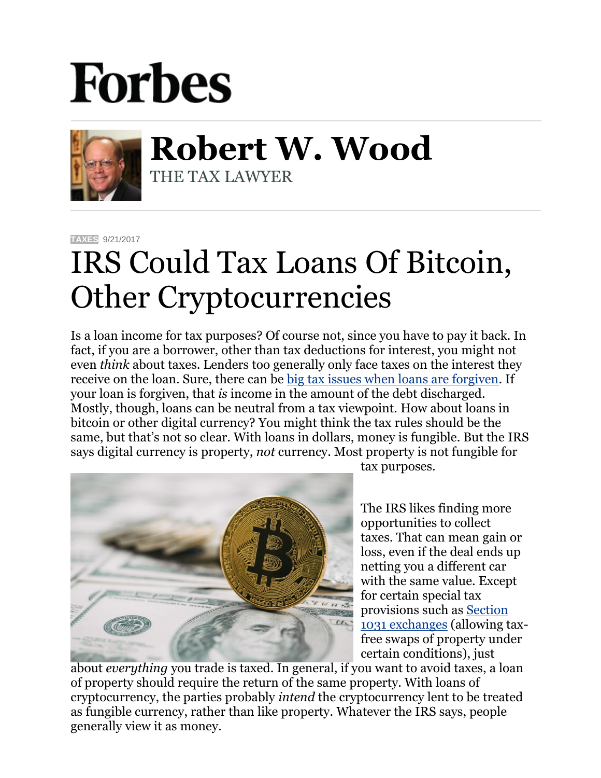## **Forbes**



**Robert W. Wood** THE TAX LAWYER

**[TAXES](https://www.forbes.com/taxes)** 9/21/2017

## IRS Could Tax Loans Of Bitcoin, Other Cryptocurrencies

Is a loan income for tax purposes? Of course not, since you have to pay it back. In fact, if you are a borrower, other than tax deductions for interest, you might not even *think* about taxes. Lenders too generally only face taxes on the interest they receive on the loan. Sure, there can be [big tax issues when loans are forgiven.](https://www.forbes.com/sites/robertwood/2013/12/03/sure-loans-arent-income-convincing-irs-it-was-a-loan-priceless/#5d13ad586686) If your loan is forgiven, that *is* income in the amount of the debt discharged. Mostly, though, loans can be neutral from a tax viewpoint. How about loans in bitcoin or other digital currency? You might think the tax rules should be the same, but that's not so clear. With loans in dollars, money is fungible. But the IRS says digital currency is property, *not* currency. Most property is not fungible for



tax purposes.

The IRS likes finding more opportunities to collect taxes. That can mean gain or loss, even if the deal ends up netting you a different car with the same value. Except for certain special tax provisions such as [Section](https://www.forbes.com/2010/01/26/capital-gains-tax-1031-vacation-home-personal-finance-robert-wood.html)  [1031 exchanges](https://www.forbes.com/2010/01/26/capital-gains-tax-1031-vacation-home-personal-finance-robert-wood.html) (allowing taxfree swaps of property under certain conditions), just

about *everything* you trade is taxed. In general, if you want to avoid taxes, a loan of property should require the return of the same property. With loans of cryptocurrency, the parties probably *intend* the cryptocurrency lent to be treated as fungible currency, rather than like property. Whatever the IRS says, people generally view it as money.